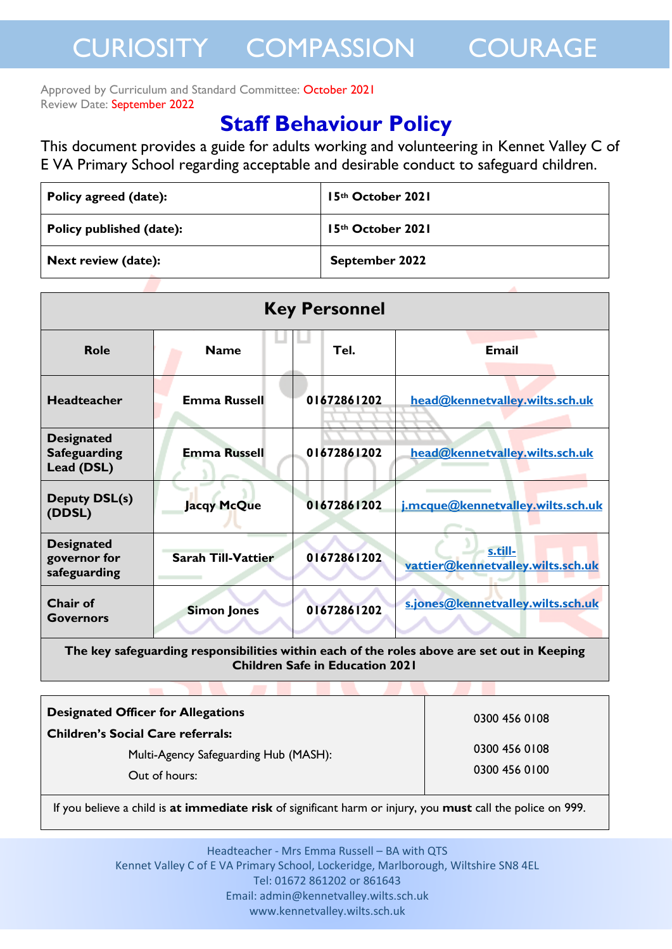Approved by Curriculum and Standard Committee: October 2021 Review Date: September 2022

### **Staff Behaviour Policy**

This document provides a guide for adults working and volunteering in Kennet Valley C of E VA Primary School regarding acceptable and desirable conduct to safeguard children.

| Policy agreed (date):      | 15th October 2021 |
|----------------------------|-------------------|
| Policy published (date):   | 15th October 2021 |
| <b>Next review (date):</b> | September 2022    |

| <b>Key Personnel</b>                                   |                           |             |                                              |  |
|--------------------------------------------------------|---------------------------|-------------|----------------------------------------------|--|
| <b>Role</b>                                            | <b>Name</b>               | Tel.        | <b>Email</b>                                 |  |
| <b>Headteacher</b>                                     | <b>Emma Russell</b>       | 01672861202 | head@kennetvalley.wilts.sch.uk               |  |
| <b>Designated</b><br><b>Safeguarding</b><br>Lead (DSL) | <b>Emma Russell</b>       | 01672861202 | head@kennetvalley.wilts.sch.uk               |  |
| <b>Deputy DSL(s)</b><br>(DDSL)                         | <b>Jacqy McQue</b>        | 01672861202 | j.mcque@kennetvalley.wilts.sch.uk            |  |
| <b>Designated</b><br>governor for<br>safeguarding      | <b>Sarah Till-Vattier</b> | 01672861202 | s.till-<br>vattier@kennetvalley.wilts.sch.uk |  |
| <b>Chair of</b><br><b>Governors</b>                    | <b>Simon Jones</b>        | 01672861202 | s.jones@kennetvalley.wilts.sch.uk            |  |

**The key safeguarding responsibilities within each of the roles above are set out in Keeping Children Safe in Education 2021**

| <b>Designated Officer for Allegations</b> | 0300 456 0108 |
|-------------------------------------------|---------------|
| <b>Children's Social Care referrals:</b>  |               |
| Multi-Agency Safeguarding Hub (MASH):     | 0300 456 0108 |
| Out of hours:                             | 0300 456 0100 |

If you believe a child is **at immediate risk** of significant harm or injury, you **must** call the police on 999.

Headteacher - Mrs Emma Russell – BA with QTS Kennet Valley C of E VA Primary School, Lockeridge, Marlborough, Wiltshire SN8 4EL Tel: 01672 861202 or 861643 Email: admin@kennetvalley.wilts.sch.uk www.kennetvalley.wilts.sch.uk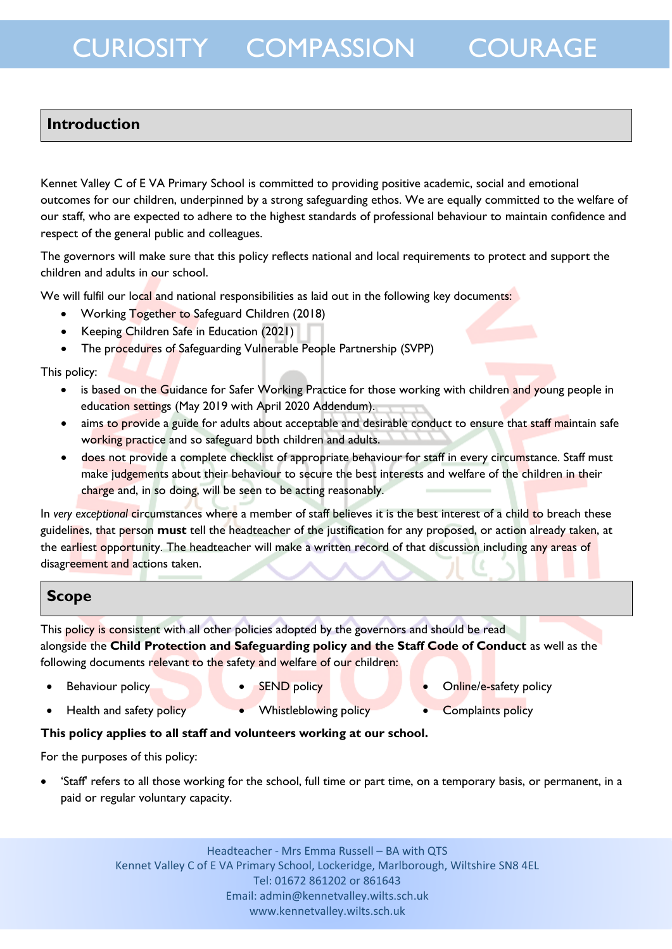### **Introduction**

Kennet Valley C of E VA Primary School is committed to providing positive academic, social and emotional outcomes for our children, underpinned by a strong safeguarding ethos. We are equally committed to the welfare of our staff, who are expected to adhere to the highest standards of professional behaviour to maintain confidence and respect of the general public and colleagues.

The governors will make sure that this policy reflects national and local requirements to protect and support the children and adults in our school.

We will fulfil our local and national responsibilities as laid out in the following key documents:

- Working Together to Safeguard Children (2018)
- Keeping Children Safe in Education (2021)
- The procedures of Safeguarding Vulnerable People Partnership (SVPP)

#### This policy:

- is based on the Guidance for Safer Working Practice for those working with children and young people in education settings (May 2019 with April 2020 Addendum).
- aims to provide a guide for adults about acceptable and desirable conduct to ensure that staff maintain safe working practice and so safeguard both children and adults.
- does not provide a complete checklist of appropriate behaviour for staff in every circumstance. Staff must make judgements about their behaviour to secure the best interests and welfare of the children in their charge and, in so doing, will be seen to be acting reasonably.

In *very exceptional* circumstances where a member of staff believes it is the best interest of a child to breach these guidelines, that person **must** tell the headteacher of the justification for any proposed, or action already taken, at the earliest opportunity. The headteacher will make a written record of that discussion including any areas of disagreement and actions taken.

#### **Scope**

This policy is consistent with all other policies adopted by the governors and should be read alongside the **Child Protection and Safeguarding policy and the Staff Code of Conduct** as well as the following documents relevant to the safety and welfare of our children:

- 
- 
- Behaviour policy **SEND** policy **SEND** policy **SEND** policy **CONS**
- Health and safety policy **Complaints policy Complaints policy Complaints policy**
- 
- 
- 

#### **This policy applies to all staff and volunteers working at our school.**

For the purposes of this policy:

 'Staff' refers to all those working for the school, full time or part time, on a temporary basis, or permanent, in a paid or regular voluntary capacity.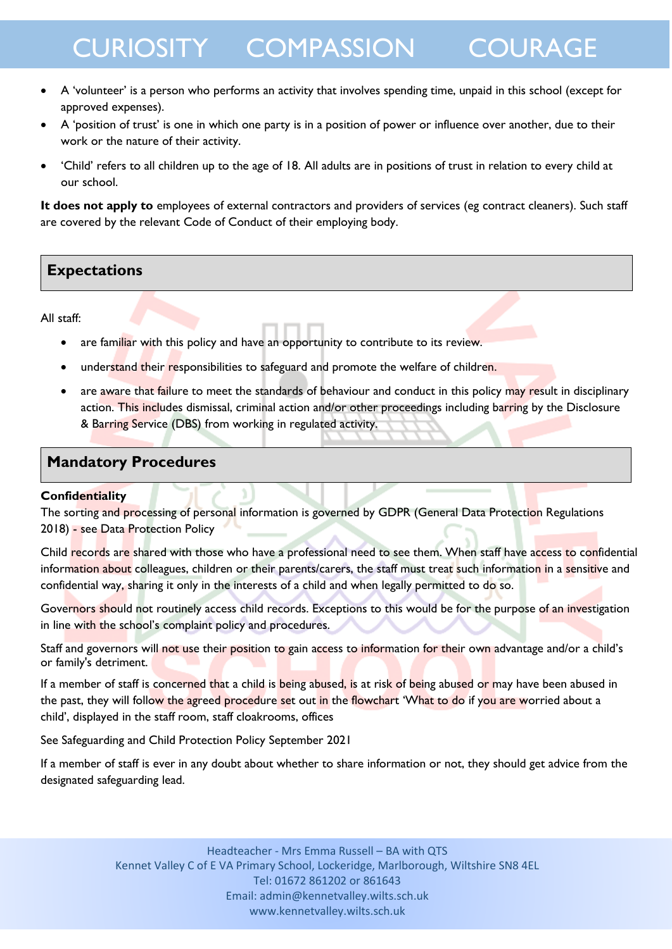- A 'volunteer' is a person who performs an activity that involves spending time, unpaid in this school (except for approved expenses).
- A 'position of trust' is one in which one party is in a position of power or influence over another, due to their work or the nature of their activity.
- 'Child' refers to all children up to the age of 18. All adults are in positions of trust in relation to every child at our school.

**It does not apply to** employees of external contractors and providers of services (eg contract cleaners). Such staff are covered by the relevant Code of Conduct of their employing body.

### **Expectations**

All staff:

- are familiar with this policy and have an opportunity to contribute to its review.
- understand their responsibilities to safeguard and promote the welfare of children.
- are aware that failure to meet the standards of behaviour and conduct in this policy may result in disciplinary action. This includes dismissal, criminal action and/or other proceedings including barring by the Disclosure & Barring Service (DBS) from working in regulated activity.

#### **Mandatory Procedures**

#### **Confidentiality**

The sorting and processing of personal information is governed by GDPR (General Data Protection Regulations 2018) - see Data Protection Policy

Child records are shared with those who have a professional need to see them. When staff have access to confidential information about colleagues, children or their parents/carers, the staff must treat such information in a sensitive and confidential way, sharing it only in the interests of a child and when legally permitted to do so.

Governors should not routinely access child records. Exceptions to this would be for the purpose of an investigation in line with the school's complaint policy and procedures.

Staff and governors will not use their position to gain access to information for their own advantage and/or a child's or family's detriment.

If a member of staff is concerned that a child is being abused, is at risk of being abused or may have been abused in the past, they will follow the agreed procedure set out in the flowchart 'What to do if you are worried about a child', displayed in the staff room, staff cloakrooms, offices

See Safeguarding and Child Protection Policy September 2021

If a member of staff is ever in any doubt about whether to share information or not, they should get advice from the designated safeguarding lead.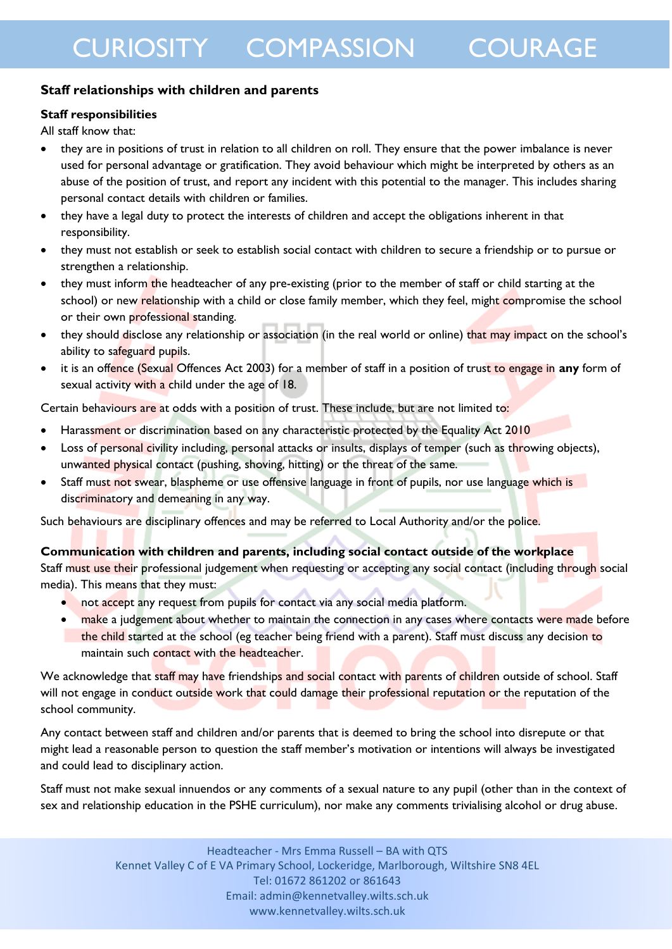### **Staff relationships with children and parents**

### **Staff responsibilities**

All staff know that:

- they are in positions of trust in relation to all children on roll. They ensure that the power imbalance is never used for personal advantage or gratification. They avoid behaviour which might be interpreted by others as an abuse of the position of trust, and report any incident with this potential to the manager. This includes sharing personal contact details with children or families.
- they have a legal duty to protect the interests of children and accept the obligations inherent in that responsibility.
- they must not establish or seek to establish social contact with children to secure a friendship or to pursue or strengthen a relationship.
- they must inform the headteacher of any pre-existing (prior to the member of staff or child starting at the school) or new relationship with a child or close family member, which they feel, might compromise the school or their own professional standing.
- they should disclose any relationship or association (in the real world or online) that may impact on the school's ability to safeguard pupils.
- it is an offence (Sexual Offences Act 2003) for a member of staff in a position of trust to engage in **any** form of sexual activity with a child under the age of 18.

Certain behaviours are at odds with a position of trust. These include, but are not limited to:

- Harassment or discrimination based on any characteristic protected by the Equality Act 2010
- Loss of personal civility including, personal attacks or insults, displays of temper (such as throwing objects), unwanted physical contact (pushing, shoving, hitting) or the threat of the same.
- Staff must not swear, blaspheme or use offensive language in front of pupils, nor use language which is discriminatory and demeaning in any way.

Such behaviours are disciplinary offences and may be referred to Local Authority and/or the police.

#### **Communication with children and parents, including social contact outside of the workplace**

Staff must use their professional judgement when requesting or accepting any social contact (including through social media). This means that they must:

- not accept any request from pupils for contact via any social media platform.
- make a judgement about whether to maintain the connection in any cases where contacts were made before the child started at the school (eg teacher being friend with a parent). Staff must discuss any decision to maintain such contact with the headteacher.

We acknowledge that staff may have friendships and social contact with parents of children outside of school. Staff will not engage in conduct outside work that could damage their professional reputation or the reputation of the school community.

Any contact between staff and children and/or parents that is deemed to bring the school into disrepute or that might lead a reasonable person to question the staff member's motivation or intentions will always be investigated and could lead to disciplinary action.

Staff must not make sexual innuendos or any comments of a sexual nature to any pupil (other than in the context of sex and relationship education in the PSHE curriculum), nor make any comments trivialising alcohol or drug abuse.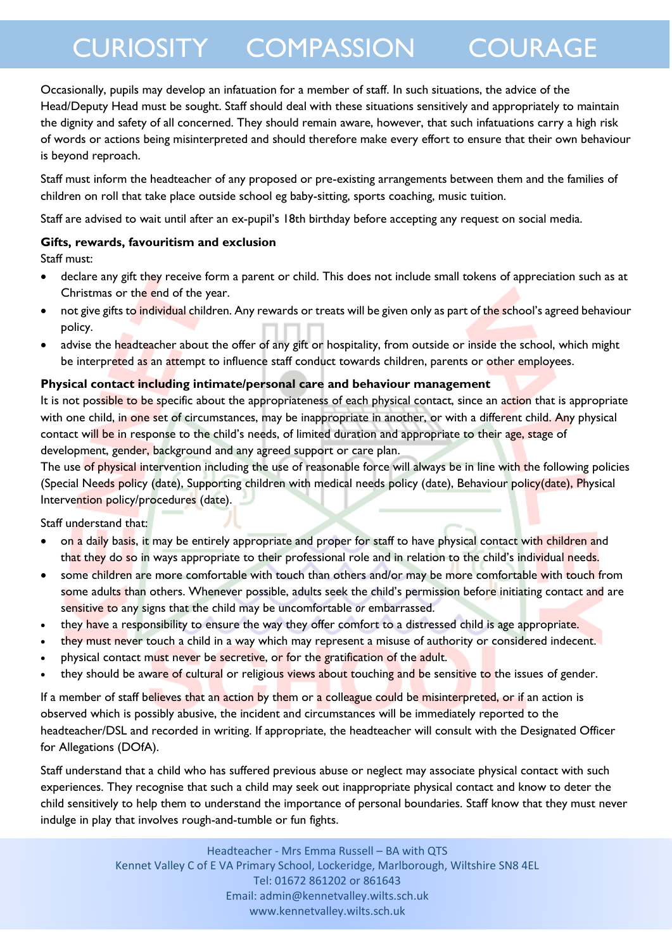Occasionally, pupils may develop an infatuation for a member of staff. In such situations, the advice of the Head/Deputy Head must be sought. Staff should deal with these situations sensitively and appropriately to maintain the dignity and safety of all concerned. They should remain aware, however, that such infatuations carry a high risk of words or actions being misinterpreted and should therefore make every effort to ensure that their own behaviour is beyond reproach.

Staff must inform the headteacher of any proposed or pre-existing arrangements between them and the families of children on roll that take place outside school eg baby-sitting, sports coaching, music tuition.

Staff are advised to wait until after an ex-pupil's 18th birthday before accepting any request on social media.

#### **Gifts, rewards, favouritism and exclusion**

Staff must:

- declare any gift they receive form a parent or child. This does not include small tokens of appreciation such as at Christmas or the end of the year.
- not give gifts to individual children. Any rewards or treats will be given only as part of the school's agreed behaviour policy.
- advise the headteacher about the offer of any gift or hospitality, from outside or inside the school, which might be interpreted as an attempt to influence staff conduct towards children, parents or other employees.

#### **Physical contact including intimate/personal care and behaviour management**

It is not possible to be specific about the appropriateness of each physical contact, since an action that is appropriate with one child, in one set of circumstances, may be inappropriate in another, or with a different child. Any physical contact will be in response to the child's needs, of limited duration and appropriate to their age, stage of development, gender, background and any agreed support or care plan.

The use of physical intervention including the use of reasonable force will always be in line with the following policies (Special Needs policy (date), Supporting children with medical needs policy (date), Behaviour policy(date), Physical Intervention policy/procedures (date).

Staff understand that:

- on a daily basis, it may be entirely appropriate and proper for staff to have physical contact with children and that they do so in ways appropriate to their professional role and in relation to the child's individual needs.
- some children are more comfortable with touch than others and/or may be more comfortable with touch from some adults than others. Whenever possible, adults seek the child's permission before initiating contact and are sensitive to any signs that the child may be uncomfortable *or* embarrassed.
- they have a responsibility to ensure the way they offer comfort to a distressed child is age appropriate.
- they must never touch a child in a way which may represent a misuse of authority or considered indecent.
- physical contact must never be secretive, or for the gratification of the adult.
- they should be aware of cultural or religious views about touching and be sensitive to the issues of gender.

If a member of staff believes that an action by them or a colleague could be misinterpreted, or if an action is observed which is possibly abusive, the incident and circumstances will be immediately reported to the headteacher/DSL and recorded in writing. If appropriate, the headteacher will consult with the Designated Officer for Allegations (DOfA).

Staff understand that a child who has suffered previous abuse or neglect may associate physical contact with such experiences. They recognise that such a child may seek out inappropriate physical contact and know to deter the child sensitively to help them to understand the importance of personal boundaries. Staff know that they must never indulge in play that involves rough-and-tumble or fun fights.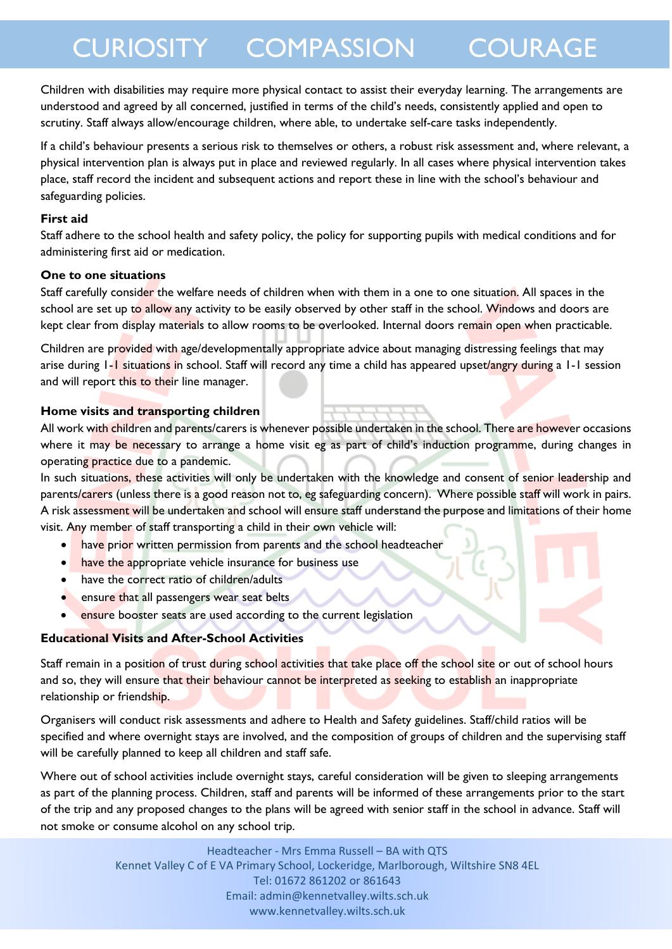Children with disabilities may require more physical contact to assist their everyday learning. The arrangements are understood and agreed by all concerned, justified in terms of the child's needs, consistently applied and open to scrutiny. Staff always allow/encourage children, where able, to undertake self-care tasks independently.

If a child's behaviour presents a serious risk to themselves or others, a robust risk assessment and, where relevant, a physical intervention plan is always put in place and reviewed regularly. In all cases where physical intervention takes place, staff record the incident and subsequent actions and report these in line with the school's behaviour and safeguarding policies.

#### **First aid**

Staff adhere to the school health and safety policy, the policy for supporting pupils with medical conditions and for administering first aid or medication.

#### **One to one situations**

Staff carefully consider the welfare needs of children when with them in a one to one situation. All spaces in the school are set up to allow any activity to be easily observed by other staff in the school. Windows and doors are kept clear from display materials to allow rooms to be overlooked. Internal doors remain open when practicable.

Children are provided with age/developmentally appropriate advice about managing distressing feelings that may arise during 1-1 situations in school. Staff will record any time a child has appeared upset/angry during a 1-1 session and will report this to their line manager.

#### **Home visits and transporting children**

All work with children and parents/carers is whenever possible undertaken in the school. There are however occasions where it may be necessary to arrange a home visit eg as part of child's induction programme, during changes in operating practice due to a pandemic.

In such situations, these activities will only be undertaken with the knowledge and consent of senior leadership and parents/carers (unless there is a good reason not to, eg safeguarding concern). Where possible staff will work in pairs. A risk assessment will be undertaken and school will ensure staff understand the purpose and limitations of their home visit. Any member of staff transporting a child in their own vehicle will:

- have prior written permission from parents and the school headteacher
- have the appropriate vehicle insurance for business use
- have the correct ratio of children/adults
- **Exercise that all passengers wear seat belts**
- ensure booster seats are used according to the current legislation

#### **Educational Visits and After-School Activities**

Staff remain in a position of trust during school activities that take place off the school site or out of school hours and so, they will ensure that their behaviour cannot be interpreted as seeking to establish an inappropriate relationship or friendship.

Organisers will conduct risk assessments and adhere to Health and Safety guidelines. Staff/child ratios will be specified and where overnight stays are involved, and the composition of groups of children and the supervising staff will be carefully planned to keep all children and staff safe.

Where out of school activities include overnight stays, careful consideration will be given to sleeping arrangements as part of the planning process. Children, staff and parents will be informed of these arrangements prior to the start of the trip and any proposed changes to the plans will be agreed with senior staff in the school in advance. Staff will not smoke or consume alcohol on any school trip.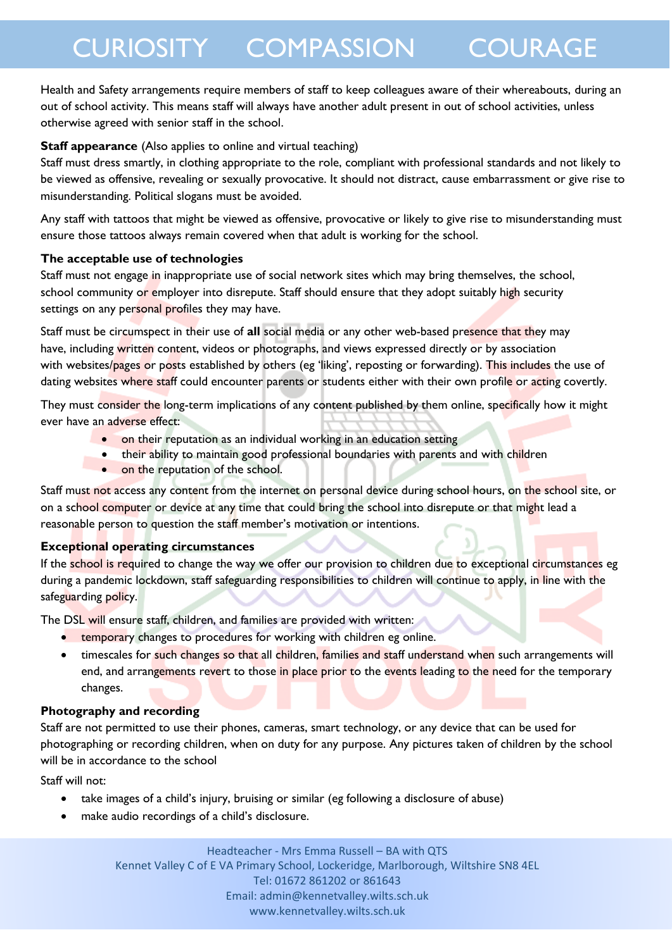Health and Safety arrangements require members of staff to keep colleagues aware of their whereabouts, during an out of school activity. This means staff will always have another adult present in out of school activities, unless otherwise agreed with senior staff in the school.

#### **Staff appearance** (Also applies to online and virtual teaching)

Staff must dress smartly, in clothing appropriate to the role, compliant with professional standards and not likely to be viewed as offensive, revealing or sexually provocative. It should not distract, cause embarrassment or give rise to misunderstanding. Political slogans must be avoided.

Any staff with tattoos that might be viewed as offensive, provocative or likely to give rise to misunderstanding must ensure those tattoos always remain covered when that adult is working for the school.

#### **The acceptable use of technologies**

Staff must not engage in inappropriate use of social network sites which may bring themselves, the school, school community or employer into disrepute. Staff should ensure that they adopt suitably high security settings on any personal profiles they may have.

Staff must be circumspect in their use of **all** social media or any other web-based presence that they may have, including written content, videos or photographs, and views expressed directly or by association with websites/pages or posts established by others (eg 'liking', reposting or forwarding). This includes the use of dating websites where staff could encounter parents or students either with their own profile or acting covertly.

They must consider the long-term implications of any content published by them online, specifically how it might ever have an adverse effect:

- on their reputation as an individual working in an education setting
- their ability to maintain good professional boundaries with parents and with children
- on the reputation of the school.

Staff must not access any content from the internet on personal device during school hours, on the school site, or on a school computer or device at any time that could bring the school into disrepute or that might lead a reasonable person to question the staff member's motivation or intentions.

#### **Exceptional operating circumstances**

If the school is required to change the way we offer our provision to children due to exceptional circumstances eg during a pandemic lockdown, staff safeguarding responsibilities to children will continue to apply, in line with the safeguarding policy.

The DSL will ensure staff, children, and families are provided with written:

- **•** temporary changes to procedures for working with children eg online.
- timescales for such changes so that all children, families and staff understand when such arrangements will end, and arrangements revert to those in place prior to the events leading to the need for the temporary changes.

#### **Photography and recording**

Staff are not permitted to use their phones, cameras, smart technology, or any device that can be used for photographing or recording children, when on duty for any purpose. Any pictures taken of children by the school will be in accordance to the school

Staff will not:

- take images of a child's injury, bruising or similar (eg following a disclosure of abuse)
- make audio recordings of a child's disclosure.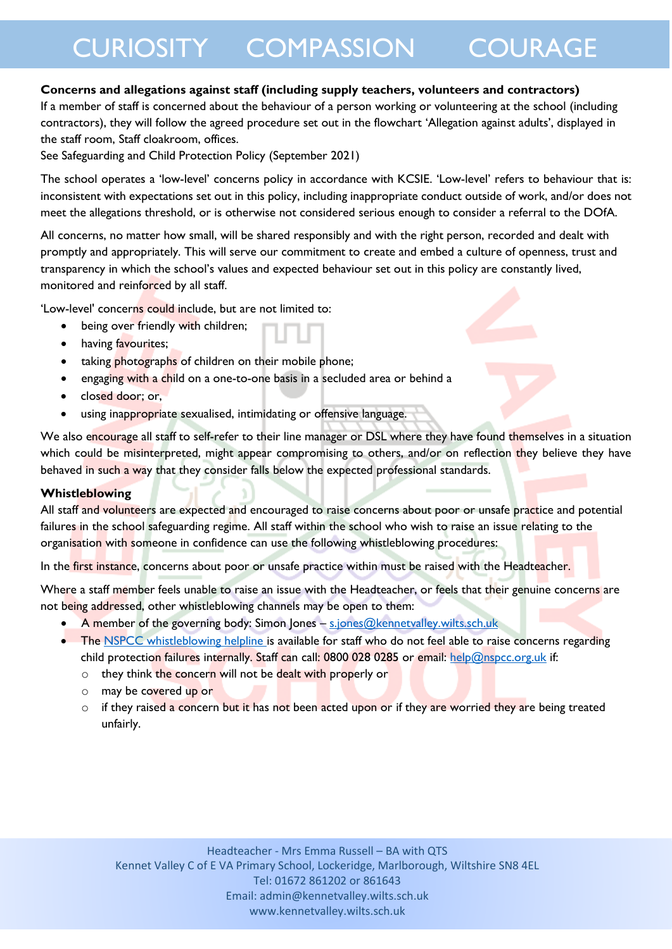#### **Concerns and allegations against staff (including supply teachers, volunteers and contractors)**

If a member of staff is concerned about the behaviour of a person working or volunteering at the school (including contractors), they will follow the agreed procedure set out in the flowchart 'Allegation against adults', displayed in the staff room, Staff cloakroom, offices.

See Safeguarding and Child Protection Policy (September 2021)

The school operates a 'low-level' concerns policy in accordance with KCSIE. 'Low-level' refers to behaviour that is: inconsistent with expectations set out in this policy, including inappropriate conduct outside of work, and/or does not meet the allegations threshold, or is otherwise not considered serious enough to consider a referral to the DOfA.

All concerns, no matter how small, will be shared responsibly and with the right person, recorded and dealt with promptly and appropriately. This will serve our commitment to create and embed a culture of openness, trust and transparency in which the school's values and expected behaviour set out in this policy are constantly lived, monitored and reinforced by all staff.

'Low-level' concerns could include, but are not limited to:

- being over friendly with children;
- having favourites;
- taking photographs of children on their mobile phone;
- engaging with a child on a one-to-one basis in a secluded area or behind a
- closed door; or,
- using inappropriate sexualised, intimidating or offensive language.

We also encourage all staff to self-refer to their line manager or DSL where they have found themselves in a situation which could be misinterpreted, might appear compromising to others, and/or on reflection they believe they have behaved in such a way that they consider falls below the expected professional standards.

#### **Whistleblowing**

All staff and volunteers are expected and encouraged to raise concerns about poor or unsafe practice and potential failures in the school safeguarding regime. All staff within the school who wish to raise an issue relating to the organisation with someone in confidence can use the following whistleblowing procedures:

In the first instance, concerns about poor or unsafe practice within must be raised with the Headteacher.

Where a staff member feels unable to raise an issue with the Headteacher, or feels that their genuine concerns are not being addressed, other whistleblowing channels may be open to them:

- A member of the governing body: Simon Jones [s.jones@kennetvalley.wilts.sch.uk](mailto:s.jones@kennetvalley.wilts.sch.uk)
- The [NSPCC whistleblowing helpline is](https://www.gov.uk/government/news/home-office-launches-child-abuse-whistleblowing-helpline) available for staff who do not feel able to raise concerns regarding child protection failures internally. Staff can call: 0800 028 0285 or email: [help@nspcc.org.uk](mailto:help@nspcc.org.uk) if:
	- o they think the concern will not be dealt with properly or
	- o may be covered up or
	- $\circ$  if they raised a concern but it has not been acted upon or if they are worried they are being treated unfairly.